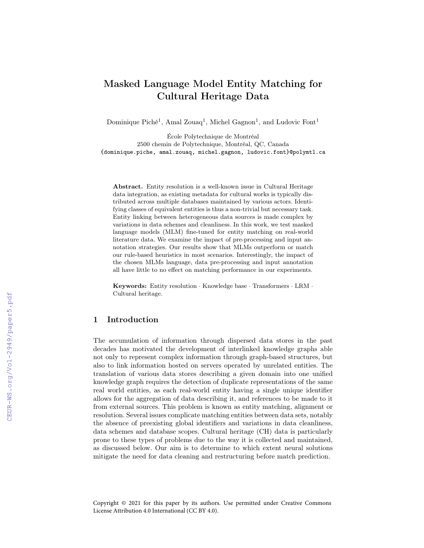# Masked Language Model Entity Matching for Cultural Heritage Data

Dominique Piché<sup>1</sup>, Amal Zouaq<sup>1</sup>, Michel Gagnon<sup>1</sup>, and Ludovic Font<sup>1</sup>

École Polytechnique de Montréal 2500 chemin de Polytechnique, Montréal, QC, Canada {dominique.piche, amal.zouaq, michel.gagnon, ludovic.font}@polymtl.ca

Abstract. Entity resolution is a well-known issue in Cultural Heritage data integration, as existing metadata for cultural works is typically distributed across multiple databases maintained by various actors. Identifying classes of equivalent entities is thus a non-trivial but necessary task. Entity linking between heterogeneous data sources is made complex by variations in data schemes and cleanliness. In this work, we test masked language models (MLM) fine-tuned for entity matching on real-world literature data. We examine the impact of pre-processing and input annotation strategies. Our results show that MLMs outperform or match our rule-based heuristics in most scenarios. Interestingly, the impact of the chosen MLMs language, data pre-processing and input annotation all have little to no effect on matching performance in our experiments.

Keywords: Entity resolution · Knowledge base · Transformers · LRM · Cultural heritage.

## 1 Introduction

The accumulation of information through dispersed data stores in the past decades has motivated the development of interlinked knowledge graphs able not only to represent complex information through graph-based structures, but also to link information hosted on servers operated by unrelated entities. The translation of various data stores describing a given domain into one unified knowledge graph requires the detection of duplicate representations of the same real world entities, as each real-world entity having a single unique identifier allows for the aggregation of data describing it, and references to be made to it from external sources. This problem is known as entity matching, alignment or resolution. Several issues complicate matching entities between data sets, notably the absence of preexisting global identifiers and variations in data cleanliness, data schemes and database scopes. Cultural heritage (CH) data is particularly prone to these types of problems due to the way it is collected and maintained, as discussed below. Our aim is to determine to which extent neural solutions mitigate the need for data cleaning and restructuring before match prediction.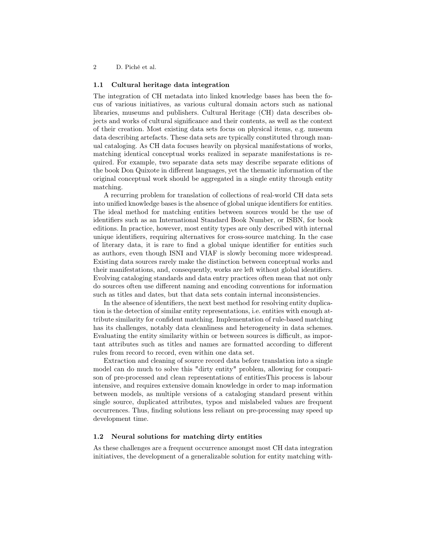### 1.1 Cultural heritage data integration

The integration of CH metadata into linked knowledge bases has been the focus of various initiatives, as various cultural domain actors such as national libraries, museums and publishers. Cultural Heritage (CH) data describes objects and works of cultural significance and their contents, as well as the context of their creation. Most existing data sets focus on physical items, e.g. museum data describing artefacts. These data sets are typically constituted through manual cataloging. As CH data focuses heavily on physical manifestations of works, matching identical conceptual works realized in separate manifestations is required. For example, two separate data sets may describe separate editions of the book Don Quixote in different languages, yet the thematic information of the original conceptual work should be aggregated in a single entity through entity matching.

A recurring problem for translation of collections of real-world CH data sets into unified knowledge bases is the absence of global unique identifiers for entities. The ideal method for matching entities between sources would be the use of identifiers such as an International Standard Book Number, or ISBN, for book editions. In practice, however, most entity types are only described with internal unique identifiers, requiring alternatives for cross-source matching. In the case of literary data, it is rare to find a global unique identifier for entities such as authors, even though ISNI and VIAF is slowly becoming more widespread. Existing data sources rarely make the distinction between conceptual works and their manifestations, and, consequently, works are left without global identifiers. Evolving cataloging standards and data entry practices often mean that not only do sources often use different naming and encoding conventions for information such as titles and dates, but that data sets contain internal inconsistencies.

In the absence of identifiers, the next best method for resolving entity duplication is the detection of similar entity representations, i.e. entities with enough attribute similarity for confident matching. Implementation of rule-based matching has its challenges, notably data cleanliness and heterogeneity in data schemes. Evaluating the entity similarity within or between sources is difficult, as important attributes such as titles and names are formatted according to different rules from record to record, even within one data set.

Extraction and cleaning of source record data before translation into a single model can do much to solve this "dirty entity" problem, allowing for comparison of pre-processed and clean representations of entitiesThis process is labour intensive, and requires extensive domain knowledge in order to map information between models, as multiple versions of a cataloging standard present within single source, duplicated attributes, typos and mislabeled values are frequent occurrences. Thus, finding solutions less reliant on pre-processing may speed up development time.

### 1.2 Neural solutions for matching dirty entities

As these challenges are a frequent occurrence amongst most CH data integration initiatives, the development of a generalizable solution for entity matching with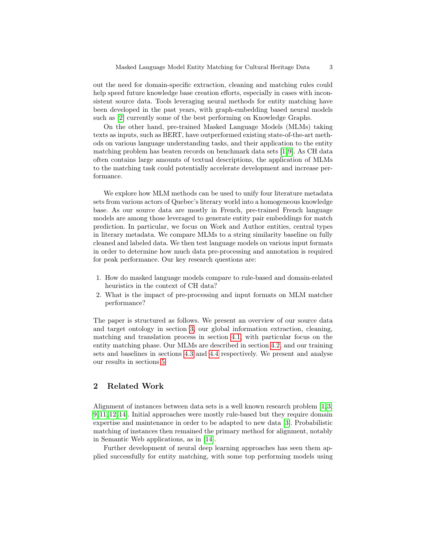out the need for domain-specific extraction, cleaning and matching rules could help speed future knowledge base creation efforts, especially in cases with inconsistent source data. Tools leveraging neural methods for entity matching have been developed in the past years, with graph-embedding based neural models such as [\[2\]](#page-11-0) currently some of the best performing on Knowledge Graphs.

On the other hand, pre-trained Masked Language Models (MLMs) taking texts as inputs, such as BERT, have outperformed existing state-of-the-art methods on various language understanding tasks, and their application to the entity matching problem has beaten records on benchmark data sets [\[1,](#page-11-1)[9\]](#page-11-2). As CH data often contains large amounts of textual descriptions, the application of MLMs to the matching task could potentially accelerate development and increase performance.

We explore how MLM methods can be used to unify four literature metadata sets from various actors of Quebec's literary world into a homogeneous knowledge base. As our source data are mostly in French, pre-trained French language models are among those leveraged to generate entity pair embeddings for match prediction. In particular, we focus on Work and Author entities, central types in literary metadata. We compare MLMs to a string similarity baseline on fully cleaned and labeled data. We then test language models on various input formats in order to determine how much data pre-processing and annotation is required for peak performance. Our key research questions are:

- 1. How do masked language models compare to rule-based and domain-related heuristics in the context of CH data?
- 2. What is the impact of pre-processing and input formats on MLM matcher performance?

The paper is structured as follows. We present an overview of our source data and target ontology in section [3,](#page-3-0) our global information extraction, cleaning, matching and translation process in section [4.1,](#page-5-0) with particular focus on the entity matching phase. Our MLMs are described in section [4.2,](#page-5-1) and our training sets and baselines in sections [4.3](#page-7-0) and [4.4](#page-8-0) respectively. We present and analyse our results in sections [5.](#page-9-0)

### 2 Related Work

Alignment of instances between data sets is a well known research problem [\[1,](#page-11-1)[3,](#page-11-3) [9,](#page-11-2) [11,](#page-11-4) [12,](#page-11-5) [14\]](#page-11-6). Initial approaches were mostly rule-based but they require domain expertise and maintenance in order to be adapted to new data [\[3\]](#page-11-3). Probabilistic matching of instances then remained the primary method for alignment, notably in Semantic Web applications, as in [\[14\]](#page-11-6).

Further development of neural deep learning approaches has seen them applied successfully for entity matching, with some top performing models using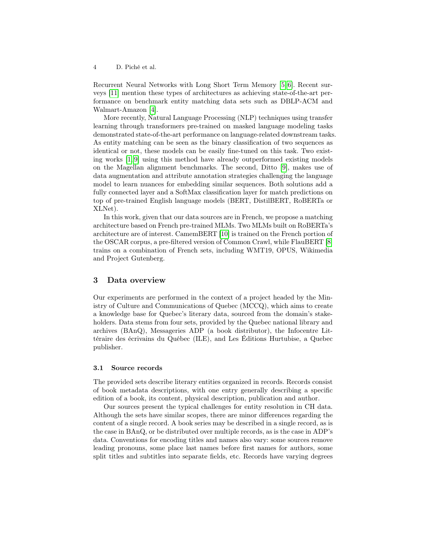Recurrent Neural Networks with Long Short Term Memory [\[5,](#page-11-7) [6\]](#page-11-8). Recent surveys [\[11\]](#page-11-4) mention these types of architectures as achieving state-of-the-art performance on benchmark entity matching data sets such as DBLP-ACM and Walmart-Amazon [\[4\]](#page-11-9).

More recently, Natural Language Processing (NLP) techniques using transfer learning through transformers pre-trained on masked language modeling tasks demonstrated state-of-the-art performance on language-related downstream tasks. As entity matching can be seen as the binary classification of two sequences as identical or not, these models can be easily fine-tuned on this task. Two existing works [\[1,](#page-11-1) [9\]](#page-11-2) using this method have already outperformed existing models on the Magellan alignment benchmarks. The second, Ditto [\[9\]](#page-11-2), makes use of data augmentation and attribute annotation strategies challenging the language model to learn nuances for embedding similar sequences. Both solutions add a fully connected layer and a SoftMax classification layer for match predictions on top of pre-trained English language models (BERT, DistilBERT, RoBERTa or XLNet).

In this work, given that our data sources are in French, we propose a matching architecture based on French pre-trained MLMs. Two MLMs built on RoBERTa's architecture are of interest. CamemBERT [\[10\]](#page-11-10) is trained on the French portion of the OSCAR corpus, a pre-filtered version of Common Crawl, while FlauBERT [\[8\]](#page-11-11) trains on a combination of French sets, including WMT19, OPUS, Wikimedia and Project Gutenberg.

### <span id="page-3-0"></span>3 Data overview

Our experiments are performed in the context of a project headed by the Ministry of Culture and Communications of Quebec (MCCQ), which aims to create a knowledge base for Quebec's literary data, sourced from the domain's stakeholders. Data stems from four sets, provided by the Quebec national library and archives (BAnQ), Messageries ADP (a book distributor), the Infocentre Littéraire des écrivains du Québec (ILE), and Les Éditions Hurtubise, a Quebec publisher.

#### <span id="page-3-1"></span>3.1 Source records

The provided sets describe literary entities organized in records. Records consist of book metadata descriptions, with one entry generally describing a specific edition of a book, its content, physical description, publication and author.

Our sources present the typical challenges for entity resolution in CH data. Although the sets have similar scopes, there are minor differences regarding the content of a single record. A book series may be described in a single record, as is the case in BAnQ, or be distributed over multiple records, as is the case in ADP's data. Conventions for encoding titles and names also vary: some sources remove leading pronouns, some place last names before first names for authors, some split titles and subtitles into separate fields, etc. Records have varying degrees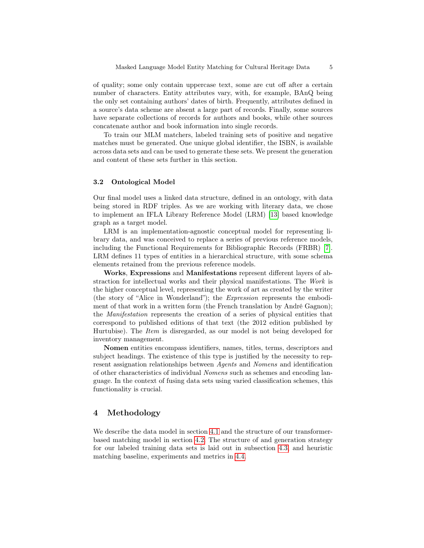of quality; some only contain uppercase text, some are cut off after a certain number of characters. Entity attributes vary, with, for example, BAnQ being the only set containing authors' dates of birth. Frequently, attributes defined in a source's data scheme are absent a large part of records. Finally, some sources have separate collections of records for authors and books, while other sources concatenate author and book information into single records.

To train our MLM matchers, labeled training sets of positive and negative matches must be generated. One unique global identifier, the ISBN, is available across data sets and can be used to generate these sets. We present the generation and content of these sets further in this section.

### 3.2 Ontological Model

Our final model uses a linked data structure, defined in an ontology, with data being stored in RDF triples. As we are working with literary data, we chose to implement an IFLA Library Reference Model (LRM) [\[13\]](#page-11-12) based knowledge graph as a target model.

LRM is an implementation-agnostic conceptual model for representing library data, and was conceived to replace a series of previous reference models, including the Functional Requirements for Bibliographic Records (FRBR) [\[7\]](#page-11-13). LRM defines 11 types of entities in a hierarchical structure, with some schema elements retained from the previous reference models.

Works, Expressions and Manifestations represent different layers of abstraction for intellectual works and their physical manifestations. The Work is the higher conceptual level, representing the work of art as created by the writer (the story of "Alice in Wonderland"); the Expression represents the embodiment of that work in a written form (the French translation by André Gagnon); the Manifestation represents the creation of a series of physical entities that correspond to published editions of that text (the 2012 edition published by Hurtubise). The *Item* is disregarded, as our model is not being developed for inventory management.

Nomen entities encompass identifiers, names, titles, terms, descriptors and subject headings. The existence of this type is justified by the necessity to represent assignation relationships between Agents and Nomens and identification of other characteristics of individual Nomens such as schemes and encoding language. In the context of fusing data sets using varied classification schemes, this functionality is crucial.

### 4 Methodology

We describe the data model in section [4.1](#page-5-0) and the structure of our transformerbased matching model in section [4.2.](#page-5-1) The structure of and generation strategy for our labeled training data sets is laid out in subsection [4.3,](#page-7-0) and heuristic matching baseline, experiments and metrics in [4.4.](#page-8-0)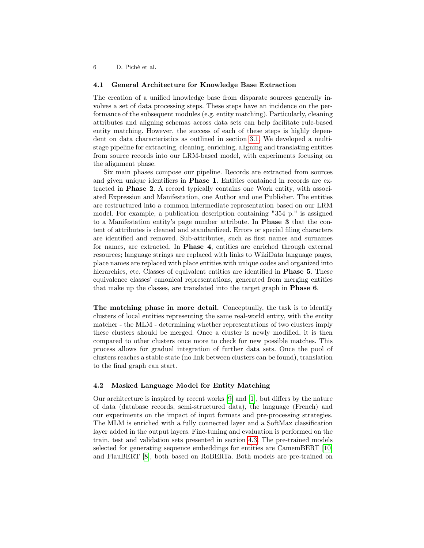#### <span id="page-5-0"></span>4.1 General Architecture for Knowledge Base Extraction

The creation of a unified knowledge base from disparate sources generally involves a set of data processing steps. These steps have an incidence on the performance of the subsequent modules (e.g. entity matching). Particularly, cleaning attributes and aligning schemas across data sets can help facilitate rule-based entity matching. However, the success of each of these steps is highly dependent on data characteristics as outlined in section [3.1.](#page-3-1) We developed a multistage pipeline for extracting, cleaning, enriching, aligning and translating entities from source records into our LRM-based model, with experiments focusing on the alignment phase.

Six main phases compose our pipeline. Records are extracted from sources and given unique identifiers in Phase 1. Entities contained in records are extracted in Phase 2. A record typically contains one Work entity, with associated Expression and Manifestation, one Author and one Publisher. The entities are restructured into a common intermediate representation based on our LRM model. For example, a publication description containing "354 p." is assigned to a Manifestation entity's page number attribute. In Phase 3 that the content of attributes is cleaned and standardized. Errors or special filing characters are identified and removed. Sub-attributes, such as first names and surnames for names, are extracted. In Phase 4, entities are enriched through external resources; language strings are replaced with links to WikiData language pages, place names are replaced with place entities with unique codes and organized into hierarchies, etc. Classes of equivalent entities are identified in **Phase 5**. These equivalence classes' canonical representations, generated from merging entities that make up the classes, are translated into the target graph in Phase 6.

The matching phase in more detail. Conceptually, the task is to identify clusters of local entities representing the same real-world entity, with the entity matcher - the MLM - determining whether representations of two clusters imply these clusters should be merged. Once a cluster is newly modified, it is then compared to other clusters once more to check for new possible matches. This process allows for gradual integration of further data sets. Once the pool of clusters reaches a stable state (no link between clusters can be found), translation to the final graph can start.

#### <span id="page-5-1"></span>4.2 Masked Language Model for Entity Matching

Our architecture is inspired by recent works [\[9\]](#page-11-2) and [\[1\]](#page-11-1), but differs by the nature of data (database records, semi-structured data), the language (French) and our experiments on the impact of input formats and pre-processing strategies. The MLM is enriched with a fully connected layer and a SoftMax classification layer added in the output layers. Fine-tuning and evaluation is performed on the train, test and validation sets presented in section [4.3.](#page-7-0) The pre-trained models selected for generating sequence embeddings for entities are CamemBERT [\[10\]](#page-11-10) and FlauBERT [\[8\]](#page-11-11), both based on RoBERTa. Both models are pre-trained on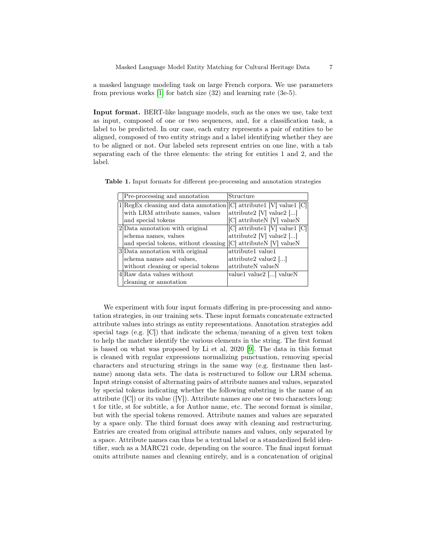a masked language modeling task on large French corpora. We use parameters from previous works [\[1\]](#page-11-1) for batch size (32) and learning rate (3e-5).

Input format. BERT-like language models, such as the ones we use, take text as input, composed of one or two sequences, and, for a classification task, a label to be predicted. In our case, each entry represents a pair of entities to be aligned, composed of two entity strings and a label identifying whether they are to be aligned or not. Our labeled sets represent entries on one line, with a tab separating each of the three elements: the string for entities 1 and 2, and the label.

<span id="page-6-0"></span>

| Pre-processing and annotation                                                 | Structure                         |  |  |
|-------------------------------------------------------------------------------|-----------------------------------|--|--|
| $1 \text{RegEx cleaning and data annotation} [C]$ attribute $ V $ value $ C $ |                                   |  |  |
| with LRM attribute names, values                                              | attribute2 $[V]$ value2 $[]$      |  |  |
| and special tokens                                                            | [C] attributeN [V] valueN         |  |  |
| $2$ Data annotation with original                                             | [C] attribute1 [V] value1 [C]     |  |  |
| schema names, values                                                          | attribute2 $[V]$ value2 $[]$      |  |  |
| and special tokens, without cleaning                                          | [C] attributeN [V] valueN         |  |  |
| 3 Data annotation with original                                               | attribute1 value1                 |  |  |
| schema names and values,                                                      | attribute2 value2 $\left[\right]$ |  |  |
| without cleaning or special tokens                                            | attributeN valueN                 |  |  |
| 4 Raw data values without                                                     | value1 value2 [] valueN           |  |  |
| cleaning or annotation                                                        |                                   |  |  |

Table 1. Input formats for different pre-processing and annotation strategies

We experiment with four input formats differing in pre-processing and annotation strategies, in our training sets. These input formats concatenate extracted attribute values into strings as entity representations. Annotation strategies add special tags (e.g.  $[C]$ ) that indicate the schema/meaning of a given text token to help the matcher identify the various elements in the string. The first format is based on what was proposed by Li et al, 2020 [\[9\]](#page-11-2). The data in this format is cleaned with regular expressions normalizing punctuation, removing special characters and structuring strings in the same way (e.g. firstname then lastname) among data sets. The data is restructured to follow our LRM schema. Input strings consist of alternating pairs of attribute names and values, separated by special tokens indicating whether the following substring is the name of an attribute ([C]) or its value ([V]). Attribute names are one or two characters long: t for title, st for subtitle, a for Author name, etc. The second format is similar, but with the special tokens removed. Attribute names and values are separated by a space only. The third format does away with cleaning and restructuring. Entries are created from original attribute names and values, only separated by a space. Attribute names can thus be a textual label or a standardized field identifier, such as a MARC21 code, depending on the source. The final input format omits attribute names and cleaning entirely, and is a concatenation of original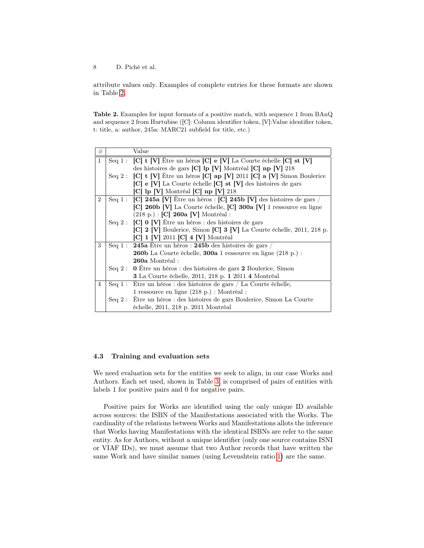attribute values only. Examples of complete entries for these formats are shown in Table [2.](#page-7-1)

<span id="page-7-1"></span>Table 2. Examples for input formats of a positive match, with sequence 1 from BAnQ and sequence 2 from Hurtubise ([C]: Column identifier token, [V]:Value identifier token, t: title, a: author, 245a: MARC21 subfield for title, etc.)

| #              |          | Value                                                                                                                                                                                                                                                  |  |  |  |  |
|----------------|----------|--------------------------------------------------------------------------------------------------------------------------------------------------------------------------------------------------------------------------------------------------------|--|--|--|--|
| $\mathbf{1}$   |          | Seq 1 : $[C]$ t $[V]$ Etre un héros $[C]$ e $[V]$ La Courte échelle $[C]$ st $[V]$                                                                                                                                                                     |  |  |  |  |
|                |          | des histoires de gars [C] lp [V] Montréal [C] np [V] 218                                                                                                                                                                                               |  |  |  |  |
|                |          | Seq 2: $\begin{bmatrix} C \\ i \end{bmatrix}$ t $\begin{bmatrix} V \\ j \end{bmatrix}$ Être un héros $\begin{bmatrix} C \\ j \end{bmatrix}$ ap $\begin{bmatrix} V \\ 2011 \\ j \end{bmatrix}$ a $\begin{bmatrix} V \\ j \end{bmatrix}$ Simon Boulerice |  |  |  |  |
|                |          | [C] e [V] La Courte échelle [C] st [V] des histoires de gars                                                                                                                                                                                           |  |  |  |  |
|                |          | $[C]$ lp $[V]$ Montréal $[C]$ np $[V]$ 218                                                                                                                                                                                                             |  |  |  |  |
| $\overline{2}$ |          | Seq 1: $\lbrack C \rbrack$ 245a $\lbrack V \rbrack$ Être un héros : $\lbrack C \rbrack$ 245b $\lbrack V \rbrack$ des histoires de gars /                                                                                                               |  |  |  |  |
|                |          | [C] 260b [V] La Courte échelle, [C] 300a [V] 1 ressource en ligne                                                                                                                                                                                      |  |  |  |  |
|                |          | $(218 \text{ p.}) : [C]$ 260a [V] Montréal :                                                                                                                                                                                                           |  |  |  |  |
|                |          | Seq 2 : $\begin{bmatrix} C \\ 0 \\ N \end{bmatrix}$ $\hat{E}$ tre un héros : des histoires de gars                                                                                                                                                     |  |  |  |  |
|                |          | $\begin{bmatrix} C & 2 \\ V & 3 \end{bmatrix}$ Boulerice, Simon $\begin{bmatrix} C & 3 \\ V & 4 \end{bmatrix}$ La Courte échelle, 2011, 218 p.                                                                                                         |  |  |  |  |
|                |          | $[C] 1 [V] 2011 [C] 4 [V]$ Montréal                                                                                                                                                                                                                    |  |  |  |  |
| 3              |          | Seq 1 : 245a Étre un héros : 245b des histoires de gars /                                                                                                                                                                                              |  |  |  |  |
|                |          | <b>260b</b> La Courte échelle, <b>300a</b> 1 ressource en ligne (218 p.) :                                                                                                                                                                             |  |  |  |  |
|                |          | 260a Montréal:                                                                                                                                                                                                                                         |  |  |  |  |
|                |          | Seq 2: 0 Etre un héros : des histoires de gars 2 Boulerice, Simon                                                                                                                                                                                      |  |  |  |  |
|                |          | <b>3</b> La Courte échelle, 2011, 218 p. 1 2011 4 Montréal                                                                                                                                                                                             |  |  |  |  |
| 4              |          | Seq 1 : Etre un héros : des histoires de gars / La Courte échelle,                                                                                                                                                                                     |  |  |  |  |
|                |          | 1 ressource en ligne (218 p.) : Montréal :                                                                                                                                                                                                             |  |  |  |  |
|                | Seq $2:$ | Être un héros : des histoires de gars Boulerice, Simon La Courte                                                                                                                                                                                       |  |  |  |  |
|                |          | échelle, 2011, 218 p. 2011 Montréal                                                                                                                                                                                                                    |  |  |  |  |

### <span id="page-7-0"></span>4.3 Training and evaluation sets

We need evaluation sets for the entities we seek to align, in our case Works and Authors. Each set used, shown in Table [3,](#page-8-1) is comprised of pairs of entities with labels 1 for positive pairs and 0 for negative pairs.

Positive pairs for Works are identified using the only unique ID available across sources: the ISBN of the Manifestations associated with the Works. The cardinality of the relations between Works and Manifestations allots the inference that Works having Manifestations with the identical ISBNs are refer to the same entity. As for Authors, without a unique identifier (only one source contains ISNI or VIAF IDs), we must assume that two Author records that have written the same Work and have similar names (using Levenshtein ratio [1\)](#page-8-2) are the same.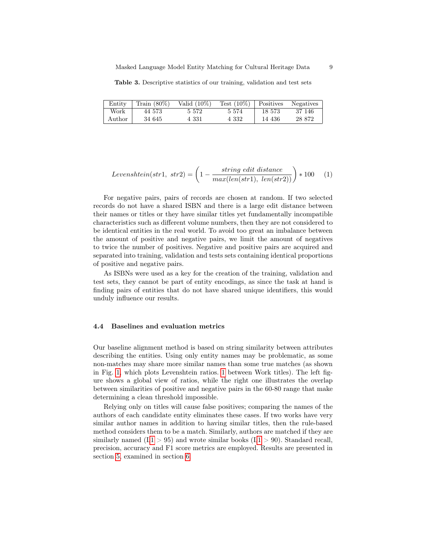<span id="page-8-1"></span>Table 3. Descriptive statistics of our training, validation and test sets

| Entity | $\frac{1}{2}$ Train (80%) | Valid $(10\%)$ | Test $(10\%)$ | Positives | Negatives |
|--------|---------------------------|----------------|---------------|-----------|-----------|
| Work   | 44 573                    | 5 5 7 2        | 5 5 7 4       | 18 573    | 37 146    |
| Author | 34 645                    | 4 331          | 4 332         | 14 436    | 28 872    |

<span id="page-8-2"></span>
$$
Levenshtein(str1, str2) = \left(1 - \frac{string \ edit \ distance}{max(len(str1), \ len(str2))}\right) * 100 \quad (1)
$$

For negative pairs, pairs of records are chosen at random. If two selected records do not have a shared ISBN and there is a large edit distance between their names or titles or they have similar titles yet fundamentally incompatible characteristics such as different volume numbers, then they are not considered to be identical entities in the real world. To avoid too great an imbalance between the amount of positive and negative pairs, we limit the amount of negatives to twice the number of positives. Negative and positive pairs are acquired and separated into training, validation and tests sets containing identical proportions of positive and negative pairs.

As ISBNs were used as a key for the creation of the training, validation and test sets, they cannot be part of entity encodings, as since the task at hand is finding pairs of entities that do not have shared unique identifiers, this would unduly influence our results.

#### <span id="page-8-0"></span>4.4 Baselines and evaluation metrics

Our baseline alignment method is based on string similarity between attributes describing the entities. Using only entity names may be problematic, as some non-matches may share more similar names than some true matches (as shown in Fig. [1,](#page-9-1) which plots Levenshtein ratios. [1](#page-8-2) between Work titles). The left figure shows a global view of ratios, while the right one illustrates the overlap between similarities of positive and negative pairs in the 60-80 range that make determining a clean threshold impossible.

Relying only on titles will cause false positives; comparing the names of the authors of each candidate entity eliminates these cases. If two works have very similar author names in addition to having similar titles, then the rule-based method considers them to be a match. Similarly, authors are matched if they are similarly named  $(L1 > 95)$  $(L1 > 95)$  $(L1 > 95)$  and wrote similar books  $(L1 > 90)$ . Standard recall, precision, accuracy and F1 score metrics are employed. Results are presented in section [5,](#page-9-0) examined in section [6.](#page-9-2)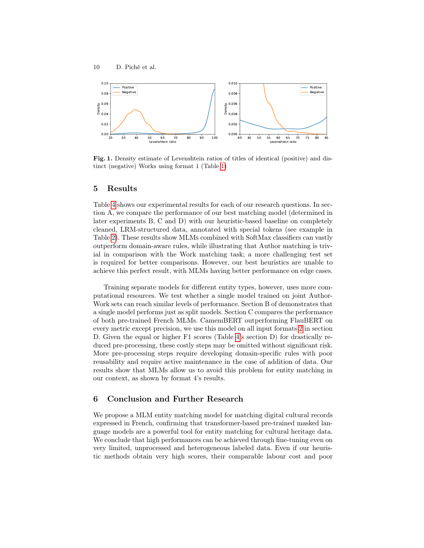

<span id="page-9-1"></span>Fig. 1. Density estimate of Levenshtein ratios of titles of identical (positive) and distinct (negative) Works using format 1 (Table [1\)](#page-6-0)

### <span id="page-9-0"></span>5 Results

Table [4](#page-10-0) shows our experimental results for each of our research questions. In section A, we compare the performance of our best matching model (determined in later experiments B, C and D) with our heuristic-based baseline on completely cleaned, LRM-structured data, annotated with special tokens (see example in Table [2\)](#page-7-1). These results show MLMs combined with SoftMax classifiers can vastly outperform domain-aware rules, while illustrating that Author matching is trivial in comparison with the Work matching task; a more challenging test set is required for better comparisons. However, our best heuristics are unable to achieve this perfect result, with MLMs having better performance on edge cases.

Training separate models for different entity types, however, uses more computational resources. We test whether a single model trained on joint Author-Work sets can reach similar levels of performance. Section B of demonstrates that a single model performs just as split models. Section C compares the performance of both pre-trained French MLMs. CamemBERT outperforming FlauBERT on every metric except precision, we use this model on all input formats [2](#page-7-1) in section D. Given the equal or higher F1 scores (Table [4'](#page-10-0)s section D) for drastically reduced pre-processing, these costly steps may be omitted without significant risk. More pre-processing steps require developing domain-specific rules with poor reusability and require active maintenance in the case of addition of data. Our results show that MLMs allow us to avoid this problem for entity matching in our context, as shown by format 4's results.

## <span id="page-9-2"></span>6 Conclusion and Further Research

We propose a MLM entity matching model for matching digital cultural records expressed in French, confirming that transformer-based pre-trained masked language models are a powerful tool for entity matching for cultural heritage data. We conclude that high performances can be achieved through fine-tuning even on very limited, unprocessed and heterogeneous labeled data. Even if our heuristic methods obtain very high scores, their comparable labour cost and poor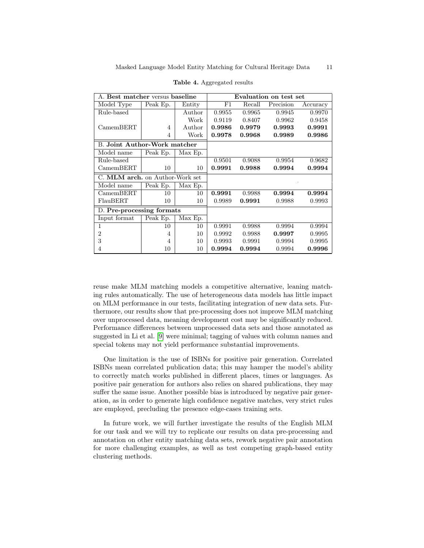| A. Best matcher versus baseline     | Evaluation on test set |         |        |        |           |          |
|-------------------------------------|------------------------|---------|--------|--------|-----------|----------|
| Model Type                          | Peak Ep.               | Entity  | F1     | Recall | Precision | Accuracy |
| Rule-based                          |                        | Author  | 0.9955 | 0.9965 | 0.9945    | 0.9970   |
|                                     |                        | Work    | 0.9119 | 0.8407 | 0.9962    | 0.9458   |
| CamemBERT                           | 4                      | Author  | 0.9986 | 0.9979 | 0.9993    | 0.9991   |
|                                     | 4                      | Work    | 0.9978 | 0.9968 | 0.9989    | 0.9986   |
| <b>B.</b> Joint Author-Work matcher |                        |         |        |        |           |          |
| Model name                          | Peak Ep.               | Max Ep. |        |        |           |          |
| Rule-based                          |                        |         | 0.9501 | 0.9088 | 0.9954    | 0.9682   |
| CamenBERT                           | 10                     | 10      | 0.9991 | 0.9988 | 0.9994    | 0.9994   |
| C. MLM arch. on Author-Work set     |                        |         |        |        |           |          |
| Model name                          | Peak Ep.               | Max Ep. |        |        |           |          |
| CamenBERT                           | 10                     | 10      | 0.9991 | 0.9988 | 0.9994    | 0.9994   |
| FlauBERT                            | 10                     | 10      | 0.9989 | 0.9991 | 0.9988    | 0.9993   |
| D. Pre-processing formats           |                        |         |        |        |           |          |
| Input format                        | Peak Ep.               | Max Ep. |        |        |           |          |
| 1                                   | 10                     | 10      | 0.9991 | 0.9988 | 0.9994    | 0.9994   |
| $\overline{2}$                      | $\overline{4}$         | 10      | 0.9992 | 0.9988 | 0.9997    | 0.9995   |
| 3                                   | $\overline{4}$         | 10      | 0.9993 | 0.9991 | 0.9994    | 0.9995   |
| 4                                   | 10                     | 10      | 0.9994 | 0.9994 | 0.9994    | 0.9996   |

<span id="page-10-0"></span>Table 4. Aggregated results

reuse make MLM matching models a competitive alternative, leaning matching rules automatically. The use of heterogeneous data models has little impact on MLM performance in our tests, facilitating integration of new data sets. Furthermore, our results show that pre-processing does not improve MLM matching over unprocessed data, meaning development cost may be significantly reduced. Performance differences between unprocessed data sets and those annotated as suggested in Li et al. [\[9\]](#page-11-2) were minimal; tagging of values with column names and special tokens may not yield performance substantial improvements.

One limitation is the use of ISBNs for positive pair generation. Correlated ISBNs mean correlated publication data; this may hamper the model's ability to correctly match works published in different places, times or languages. As positive pair generation for authors also relies on shared publications, they may suffer the same issue. Another possible bias is introduced by negative pair generation, as in order to generate high confidence negative matches, very strict rules are employed, precluding the presence edge-cases training sets.

In future work, we will further investigate the results of the English MLM for our task and we will try to replicate our results on data pre-processing and annotation on other entity matching data sets, rework negative pair annotation for more challenging examples, as well as test competing graph-based entity clustering methods.